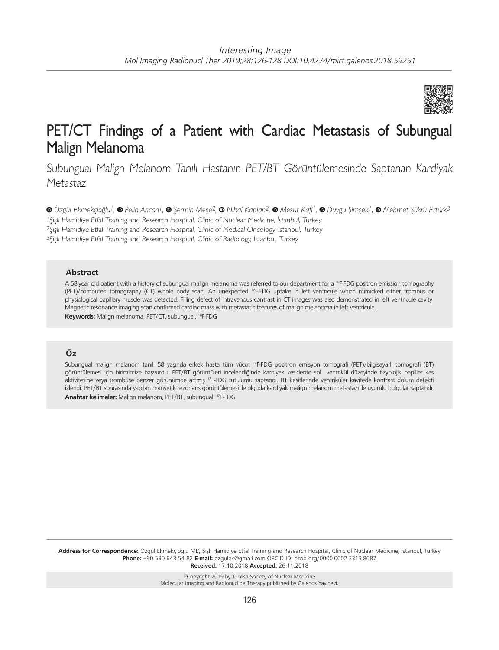

# PET/CT Findings of a Patient with Cardiac Metastasis of Subungual Malign Melanoma

Subungual Malign Melanom Tanılı Hastanın PET/BT Görüntülemesinde Saptanan Kardiyak Metastaz

Şişli Hamidiye Etfal Training and Research Hospital, Clinic of Nuclear Medicine, İstanbul, Turkey Şişli Hamidiye Etfal Training and Research Hospital, Clinic of Medical Oncology, İstanbul, Turkey Şişli Hamidiye Etfal Training and Research Hospital, Clinic of Radiology, İstanbul, Turkey *Özgül Ekmekçioğlu1,Pelin Arıcan1,Şermin Meşe2,Nihal Kaplan2,Mesut Kafi1,Duygu Şimşek1,Mehmet Şükrü Ertürk3*

#### **Abstract**

A 58-year old patient with a history of subungual malign melanoma was referred to our department for a 18F-FDG positron emission tomography (PET)/computed tomography (CT) whole body scan. An unexpected 18F-FDG uptake in left ventricule which mimicked either trombus or physiological papillary muscle was detected. Filling defect of intravenous contrast in CT images was also demonstrated in left ventricule cavity. Magnetic resonance imaging scan confirmed cardiac mass with metastatic features of malign melanoma in left ventricule. **Keywords:** Malign melanoma, PET/CT, subungual, 18F-FDG

## **Öz**

Subungual malign melanom tanılı 58 yaşında erkek hasta tüm vücut 18F-FDG pozitron emisyon tomografi (PET)/bilgisayarlı tomografi (BT) görüntülemesi için birimimize başvurdu. PET/BT görüntüleri incelendiğinde kardiyak kesitlerde sol ventrikül düzeyinde fizyolojik papiller kas aktivitesine veya trombüse benzer görünümde artmış 18F-FDG tutulumu saptandı. BT kesitlerinde ventriküler kavitede kontrast dolum defekti izlendi. PET/BT sonrasında yapılan manyetik rezonans görüntülemesi ile olguda kardiyak malign melanom metastazı ile uyumlu bulgular saptandı. **Anahtar kelimeler:** Malign melanom, PET/BT, subungual, 18F-FDG

**Address for Correspondence:** Özgül Ekmekçioğlu MD, Şişli Hamidiye Etfal Training and Research Hospital, Clinic of Nuclear Medicine, İstanbul, Turkey **Phone:** +90 530 643 54 82 **E-mail:** ozgulek@gmail.com ORCID ID: orcid.org/0000-0002-3313-8087 **Received:** 17.10.2018 **Accepted:** 26.11.2018

> ©Copyright 2019 by Turkish Society of Nuclear Medicine Molecular Imaging and Radionuclide Therapy published by Galenos Yayınevi.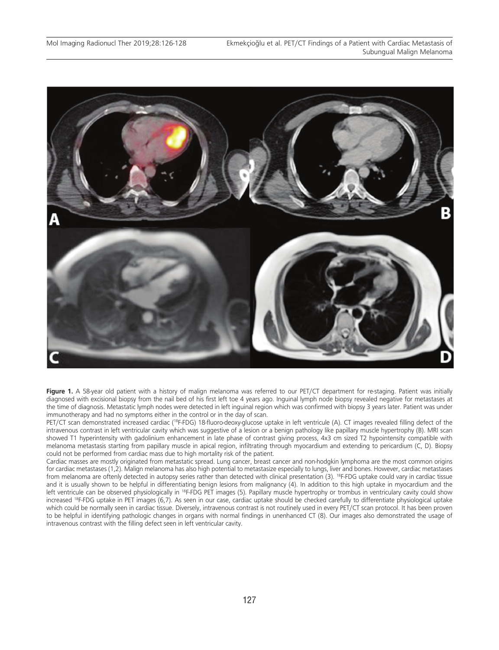

Figure 1. A 58-year old patient with a history of malign melanoma was referred to our PET/CT department for re-staging. Patient was initially diagnosed with excisional biopsy from the nail bed of his first left toe 4 years ago. Inguinal lymph node biopsy revealed negative for metastases at the time of diagnosis. Metastatic lymph nodes were detected in left inguinal region which was confirmed with biopsy 3 years later. Patient was under immunotherapy and had no symptoms either in the control or in the day of scan.

PET/CT scan demonstrated increased cardiac (<sup>18</sup>F-FDG) 18-fluoro-deoxy-glucose uptake in left ventricule (A). CT images revealed filling defect of the intravenous contrast in left ventricular cavity which was suggestive of a lesion or a benign pathology like papillary muscle hypertrophy (B). MRI scan showed T1 hyperintensity with gadolinium enhancement in late phase of contrast giving process, 4x3 cm sized T2 hypointensity compatible with melanoma metastasis starting from papillary muscle in apical region, infiltrating through myocardium and extending to pericardium (C, D). Biopsy could not be performed from cardiac mass due to high mortality risk of the patient.

Cardiac masses are mostly originated from metastatic spread. Lung cancer, breast cancer and non-hodgkin lymphoma are the most common origins for cardiac metastases (1,2). Malign melanoma has also high potential to metastasize especially to lungs, liver and bones. However, cardiac metastases from melanoma are oftenly detected in autopsy series rather than detected with clinical presentation (3). <sup>18</sup>F-FDG uptake could vary in cardiac tissue and it is usually shown to be helpful in differentiating benign lesions from malignancy (4). In addition to this high uptake in myocardium and the left ventricule can be observed physiologically in <sup>18</sup>F-FDG PET images (5). Papillary muscle hypertrophy or trombus in ventriculary cavity could show increased <sup>18</sup>F-FDG uptake in PET images (6,7). As seen in our case, cardiac uptake should be checked carefully to differentiate physiological uptake which could be normally seen in cardiac tissue. Diversely, intravenous contrast is not routinely used in every PET/CT scan protocol. It has been proven to be helpful in identifying pathologic changes in organs with normal findings in unenhanced CT (8). Our images also demonstrated the usage of intravenous contrast with the filling defect seen in left ventricular cavity.